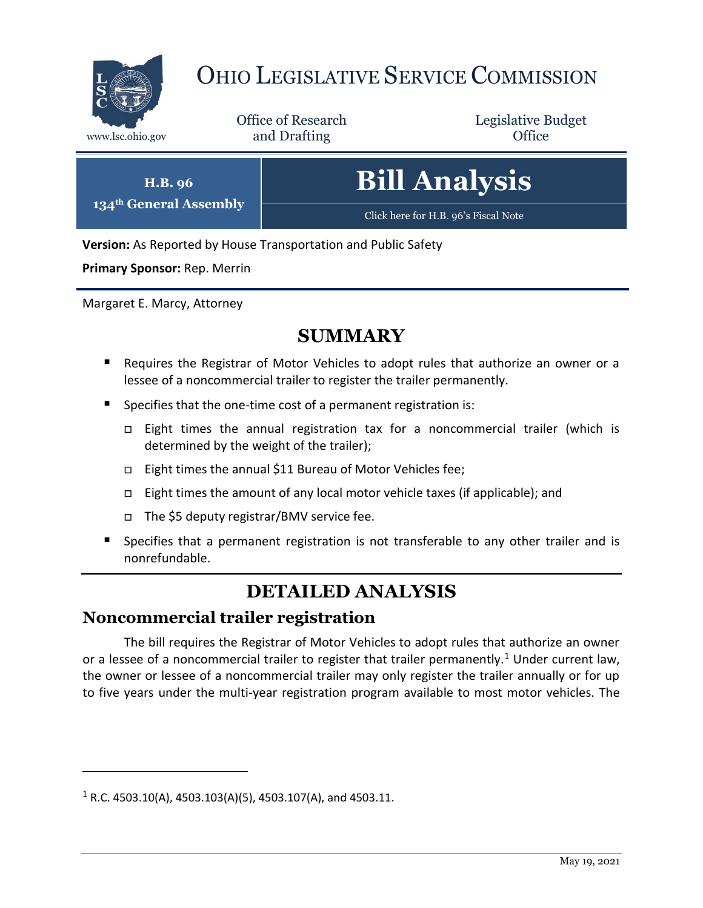

# OHIO LEGISLATIVE SERVICE COMMISSION

Office of Research www.lsc.ohio.gov **and Drafting Office** 

Legislative Budget

| <b>Bill Analysis</b>                 |
|--------------------------------------|
| Click here for H.B. 96's Fiscal Note |

**Version:** As Reported by House Transportation and Public Safety

**Primary Sponsor:** Rep. Merrin

**H.B. 96 134th General Assembly**

Margaret E. Marcy, Attorney

## **SUMMARY**

- Requires the Registrar of Motor Vehicles to adopt rules that authorize an owner or a lessee of a noncommercial trailer to register the trailer permanently.
- Specifies that the one-time cost of a permanent registration is:
	- Eight times the annual registration tax for a noncommercial trailer (which is determined by the weight of the trailer);
	- □ Eight times the annual \$11 Bureau of Motor Vehicles fee;
	- Eight times the amount of any local motor vehicle taxes (if applicable); and
	- The \$5 deputy registrar/BMV service fee.
- Specifies that a permanent registration is not transferable to any other trailer and is nonrefundable.

# **DETAILED ANALYSIS**

## **Noncommercial trailer registration**

The bill requires the Registrar of Motor Vehicles to adopt rules that authorize an owner or a lessee of a noncommercial trailer to register that trailer permanently.<sup>1</sup> Under current law, the owner or lessee of a noncommercial trailer may only register the trailer annually or for up to five years under the multi-year registration program available to most motor vehicles. The

 $\overline{a}$ 

 $1 R.C. 4503.10(A), 4503.103(A)(5), 4503.107(A),$  and 4503.11.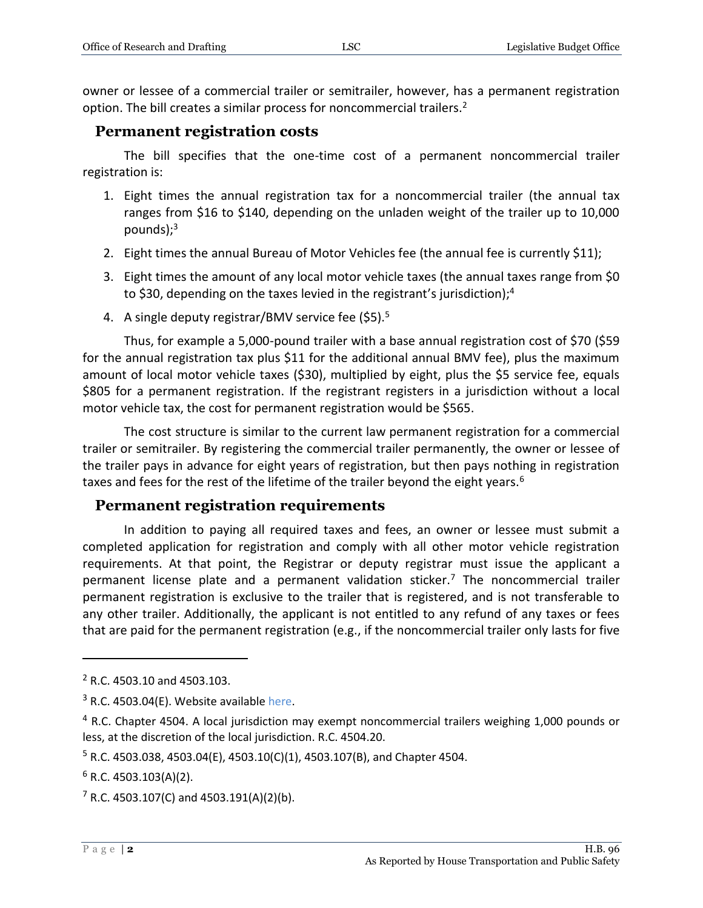owner or lessee of a commercial trailer or semitrailer, however, has a permanent registration option. The bill creates a similar process for noncommercial trailers.<sup>2</sup>

#### **Permanent registration costs**

The bill specifies that the one-time cost of a permanent noncommercial trailer registration is:

- 1. Eight times the annual registration tax for a noncommercial trailer (the annual tax ranges from \$16 to \$140, depending on the unladen weight of the trailer up to 10,000 pounds $;^{3}$
- 2. Eight times the annual Bureau of Motor Vehicles fee (the annual fee is currently \$11);
- 3. Eight times the amount of any local motor vehicle taxes (the annual taxes range from \$0 to \$30, depending on the taxes levied in the registrant's jurisdiction);<sup>4</sup>
- 4. A single deputy registrar/BMV service fee (\$5).<sup>5</sup>

Thus, for example a 5,000-pound trailer with a base annual registration cost of \$70 (\$59 for the annual registration tax plus \$11 for the additional annual BMV fee), plus the maximum amount of local motor vehicle taxes (\$30), multiplied by eight, plus the \$5 service fee, equals \$805 for a permanent registration. If the registrant registers in a jurisdiction without a local motor vehicle tax, the cost for permanent registration would be \$565.

The cost structure is similar to the current law permanent registration for a commercial trailer or semitrailer. By registering the commercial trailer permanently, the owner or lessee of the trailer pays in advance for eight years of registration, but then pays nothing in registration taxes and fees for the rest of the lifetime of the trailer beyond the eight years.<sup>6</sup>

### **Permanent registration requirements**

In addition to paying all required taxes and fees, an owner or lessee must submit a completed application for registration and comply with all other motor vehicle registration requirements. At that point, the Registrar or deputy registrar must issue the applicant a permanent license plate and a permanent validation sticker.<sup>7</sup> The noncommercial trailer permanent registration is exclusive to the trailer that is registered, and is not transferable to any other trailer. Additionally, the applicant is not entitled to any refund of any taxes or fees that are paid for the permanent registration (e.g., if the noncommercial trailer only lasts for five

 $\overline{a}$ 

<sup>2</sup> R.C. 4503.10 and 4503.103.

 $3$  R.C. 4503.04(E). Website available [here.](https://publicsafety.ohio.gov/static/bmv_non-commercial_trailer_registration_fees.pdf)

<sup>&</sup>lt;sup>4</sup> R.C. Chapter 4504. A local jurisdiction may exempt noncommercial trailers weighing 1,000 pounds or less, at the discretion of the local jurisdiction. R.C. 4504.20.

 $5$  R.C. 4503.038, 4503.04(E), 4503.10(C)(1), 4503.107(B), and Chapter 4504.

 $6$  R.C. 4503.103(A)(2).

 $7$  R.C. 4503.107(C) and 4503.191(A)(2)(b).